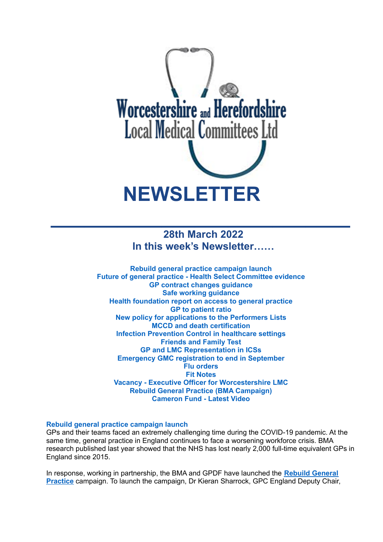

# **28th March 2022 In this week's Newsletter……**

**Rebuild general practice campaign launch Future of general practice - Health Select Committee evidence GP contract changes guidance Safe working guidance Health foundation report on access to general practice GP to patient ratio New policy for applications to the Performers Lists MCCD and death certification Infection Prevention Control in healthcare settings Friends and Family Test GP and LMC Representation in ICSs Emergency GMC registration to end in September Flu orders Fit Notes Vacancy - Executive Officer for Worcestershire LMC Rebuild General Practice (BMA Campaign) Cameron Fund - Latest Video**

# **Rebuild general practice campaign launch**

GPs and their teams faced an extremely challenging time during the COVID-19 pandemic. At the same time, general practice in England continues to face a worsening workforce crisis. BMA research published last year showed that the NHS has lost nearly 2,000 full-time equivalent GPs in England since 2015.

In response, working in partnership, the BMA and GPDF have launched the **Rebuild [General](https://bma-mail.org.uk/t/JVX-7SE2J-JCJOU4-4QTDV1-1/c.aspx) [Practice](https://bma-mail.org.uk/t/JVX-7SE2J-JCJOU4-4QTDV1-1/c.aspx)** campaign. To launch the campaign, Dr Kieran Sharrock, GPC England Deputy Chair,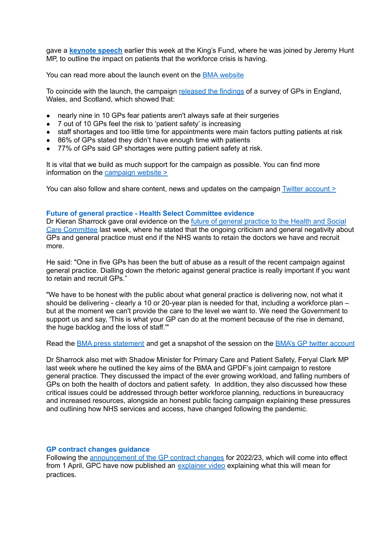gave a **[keynote](https://bma-mail.org.uk/t/JVX-7SE2J-JCJOU4-4QTDV2-1/c.aspx) speech** earlier this week at the King's Fund, where he was joined by Jeremy Hunt MP, to outline the impact on patients that the workforce crisis is having.

You can read more about the launch event on the BMA [website](https://www.bma.org.uk/news-and-opinion/gp-campaign-time-to-rebuild-general-practice)

To coincide with the launch, the campaign [released](https://bma-assets.s3.amazonaws.com/attachments/cl10w7qp3145pnzpda633c2xs-rgppressrelease-final-20220321.pdf) the findings of a survey of GPs in England, Wales, and Scotland, which showed that:

- nearly nine in 10 GPs fear patients aren't always safe at their surgeries
- 7 out of 10 GPs feel the risk to 'patient safety' is increasing
- staff shortages and too little time for appointments were main factors putting patients at risk
- 86% of GPs stated they didn't have enough time with patients
- 77% of GPs said GP shortages were putting patient safety at risk.

It is vital that we build as much support for the campaign as possible. You can find more information on the [campaign](https://rebuildgp.co.uk/) website >

You can also follow and share content, news and updates on the campaign Twitter [account](https://twitter.com/rebuildgp) >

## **Future of general practice - Health Select Committee evidence**

Dr Kieran Sharrock gave oral evidence on the future of general [practice](https://parliamentlive.tv/event/index/2db75856-7af1-4c6c-8a81-1195325864a7?domain=parliamentlive.tv) to the Health and Social Care [Committee](https://parliamentlive.tv/event/index/2db75856-7af1-4c6c-8a81-1195325864a7?domain=parliamentlive.tv) last week, where he stated that the ongoing criticism and general negativity about GPs and general practice must end if the NHS wants to retain the doctors we have and recruit more.

He said: "One in five GPs has been the butt of abuse as a result of the recent campaign against general practice. Dialling down the rhetoric against general practice is really important if you want to retain and recruit GPs."

"We have to be honest with the public about what general practice is delivering now, not what it should be delivering - clearly a 10 or 20-year plan is needed for that, including a workforce plan – but at the moment we can't provide the care to the level we want to. We need the Government to support us and say, 'This is what your GP can do at the moment because of the rise in demand, the huge backlog and the loss of staff.'"

Read the **BMA** press [statement](https://www.bma.org.uk/bma-media-centre/dial-down-the-negative-and-critical-commentary-against-gps-or-the-nhs-will-lose-even-more-doctors-bma-tells-health-select-committee) and get a snapshot of the session on the **BMA's GP** twitter [account](https://twitter.com/BMA_GP/status/1503765235374735362)

Dr Sharrock also met with Shadow Minister for Primary Care and Patient Safety, Feryal Clark MP last week where he outlined the key aims of the BMA and GPDF's joint campaign to restore general practice. They discussed the impact of the ever growing workload, and falling numbers of GPs on both the health of doctors and patient safety. In addition, they also discussed how these critical issues could be addressed through better workforce planning, reductions in bureaucracy and increased resources, alongside an honest public facing campaign explaining these pressures and outlining how NHS services and access, have changed following the pandemic.

## **GP contract changes guidance**

Following the [announcement](https://www.england.nhs.uk/publication/letter-general-practice-contract-arrangements-in-2022-23/) of the GP contract changes for 2022/23, which will come into effect from 1 April, GPC have now published an [explainer](https://www.bma.org.uk/pay-and-contracts/contracts/gp-contract/gp-contract-changes-england-202223) video explaining what this will mean for practices*.*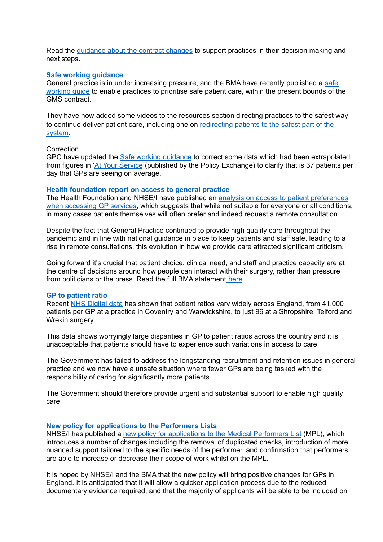Read the [guidance](https://www.bma.org.uk/pay-and-contracts/contracts/gp-contract/gp-contract-changes-england-202223) about the contract changes to support practices in their decision making and next steps.

#### **Safe working guidance**

General practice is in under increasing pressure, and the BMA have recently published a [safe](https://www.bma.org.uk/advice-and-support/gp-practices/managing-workload/safe-working-in-general-practice) [working](https://www.bma.org.uk/advice-and-support/gp-practices/managing-workload/safe-working-in-general-practice) guide to enable practices to prioritise safe patient care, within the present bounds of the GMS contract.

They have now added some videos to the resources section directing practices to the safest way to continue deliver patient care, including one on [redirecting](https://www.youtube.com/watch?v=FMTLvPJE064) patients to the safest part of the [system.](https://www.youtube.com/watch?v=FMTLvPJE064)

#### **Correction**

GPC have updated the Safe working [guidance](https://protect-eu.mimecast.com/s/rhfvC2WMMcpzNPRFMkAwY?domain=bma.org.uk) to correct some data which had been extrapolated from figures in 'At Your [Service](https://protect-eu.mimecast.com/s/qLzqCWqVVi5mARPI6Bm5o?domain=policyexchange.org.uk) (published by the Policy Exchange) to clarify that is 37 patients per day that GPs are seeing on average.

#### **Health foundation report on access to general practice**

The Health Foundation and NHSE/I have published an analysis on access to patient [preferences](https://www.health.org.uk/publications/access-to-and-delivery-of-general-practice-services) when [accessing](https://www.health.org.uk/publications/access-to-and-delivery-of-general-practice-services) GP services, which suggests that while not suitable for everyone or all conditions, in many cases patients themselves will often prefer and indeed request a remote consultation.

Despite the fact that General Practice continued to provide high quality care throughout the pandemic and in line with national guidance in place to keep patients and staff safe, leading to a rise in remote consultations, this evolution in how we provide care attracted significant criticism.

Going forward it's crucial that patient choice, clinical need, and staff and practice capacity are at the centre of decisions around how people can interact with their surgery, rather than pressure from politicians or the press. Read the full BMA statement [here](https://www.bma.org.uk/bma-media-centre/health-foundation-analysis-on-gp-appointment-preferences-highlights-the-importance-of-patient-choice-clinical-need-and-capacity-says-bma)

### **GP to patient ratio**

Recent NHS [Digital](https://digital.nhs.uk/data-and-information/publications/statistical/patients-registered-at-a-gp-practice) data has shown that patient ratios vary widely across England, from 41,000 patients per GP at a practice in Coventry and Warwickshire, to just 96 at a Shropshire, Telford and Wrekin surgery.

This data shows worryingly large disparities in GP to patient ratios across the country and it is unacceptable that patients should have to experience such variations in access to care.

The Government has failed to address the longstanding recruitment and retention issues in general practice and we now have a unsafe situation where fewer GPs are being tasked with the responsibility of caring for significantly more patients.

The Government should therefore provide urgent and substantial support to enable high quality care.

## **New policy for applications to the Performers Lists**

NHSE/I has published a new policy for [applications](https://www.england.nhs.uk/publication/policy-for-managing-applications-to-join-the-england-performers-lists/) to the Medical Performers List (MPL), which introduces a number of changes including the removal of duplicated checks, introduction of more nuanced support tailored to the specific needs of the performer, and confirmation that performers are able to increase or decrease their scope of work whilst on the MPL.

It is hoped by NHSE/I and the BMA that the new policy will bring positive changes for GPs in England. It is anticipated that it will allow a quicker application process due to the reduced documentary evidence required, and that the majority of applicants will be able to be included on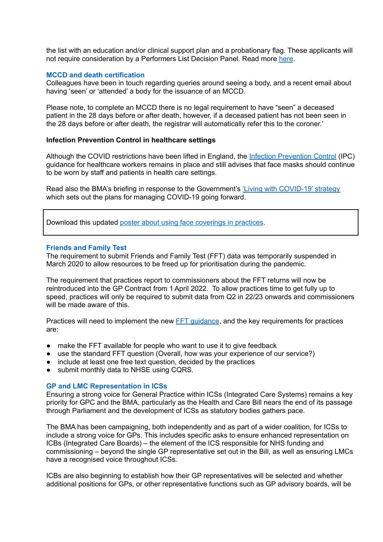the list with an education and/or clinical support plan and a probationary flag. These applicants will not require consideration by a Performers List Decision Panel. Read more [here](https://www.england.nhs.uk/publication/policy-for-managing-applications-to-join-the-england-performers-lists/).

# **MCCD and death certification**

Colleagues have been in touch regarding queries around seeing a body, and a recent email about having 'seen' or 'attended' a body for the issuance of an MCCD.

Please note, to complete an MCCD there is no legal requirement to have "seen" a deceased patient in the 28 days before or after death, however, if a deceased patient has not been seen in the 28 days before or after death, the registrar will automatically refer this to the coroner.'

### **Infection Prevention Control in healthcare settings**

Although the COVID restrictions have been lifted in England, the Infection [Prevention](https://www.gov.uk/government/publications/wuhan-novel-coronavirus-infection-prevention-and-control) Control (IPC) guidance for healthcare workers remains in place and still advises that face masks should continue to be worn by staff and patients in health care settings.

Read also the BMA's briefing in response to the Government's 'Living with [COVID-19'](https://assets.publishing.service.gov.uk/government/uploads/system/uploads/attachment_data/file/1056229/COVID-19_Response_-_Living_with_COVID-19.pdf) strategy which sets out the plans for managing COVID-19 going forward.

Download this updated poster about using face [coverings](https://www.bma.org.uk/media/5321/bma-visiting-your-gp-poster-mar2022.pdf) in practices.

#### **Friends and Family Test**

The requirement to submit Friends and Family Test (FFT) data was temporarily suspended in March 2020 to allow resources to be freed up for prioritisation during the pandemic.

The requirement that practices report to commissioners about the FFT returns will now be reintroduced into the GP Contract from 1 April 2022. To allow practices time to get fully up to speed, practices will only be required to submit data from Q2 in 22/23 onwards and commissioners will be made aware of this.

Practices will need to implement the new **FFT** quidance, and the key requirements for practices are:

- make the FFT available for people who want to use it to give feedback
- use the standard FFT question (Overall, how was your experience of our service?)
- include at least one free text question, decided by the practices
- submit monthly data to NHSE using CQRS.

#### **GP and LMC Representation in ICSs**

Ensuring a strong voice for General Practice within ICSs (Integrated Care Systems) remains a key priority for GPC and the BMA, particularly as the Health and Care Bill nears the end of its passage through Parliament and the development of ICSs as statutory bodies gathers pace.

The BMA has been campaigning, both independently and as part of a wider coalition, for ICSs to include a strong voice for GPs. This includes specific asks to ensure enhanced representation on ICBs (Integrated Care Boards) – the element of the ICS responsible for NHS funding and commissioning – beyond the single GP representative set out in the Bill, as well as ensuring LMCs have a recognised voice throughout ICSs.

ICBs are also beginning to establish how their GP representatives will be selected and whether additional positions for GPs, or other representative functions such as GP advisory boards, will be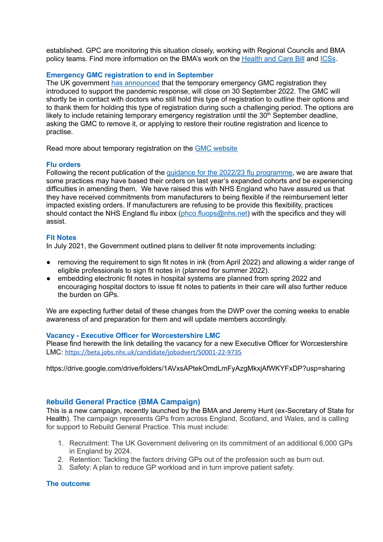established. GPC are monitoring this situation closely, working with Regional Councils and BMA policy teams. Find more information on the BMA's work on the [Health](https://www.bma.org.uk/advice-and-support/nhs-delivery-and-workforce/integration/the-health-and-care-bill) and Care Bill and [ICSs](https://www.bma.org.uk/advice-and-support/nhs-delivery-and-workforce/integration/integrated-care-systems-icss).

# **Emergency GMC registration to end in September**

The UK government has [announced](https://questions-statements.parliament.uk/written-statements/detail/2022-03-16/hlws672) that the temporary emergency GMC registration they introduced to support the pandemic response, will close on 30 September 2022. The GMC will shortly be in contact with doctors who still hold this type of registration to outline their options and to thank them for holding this type of registration during such a challenging period. The options are likely to include retaining temporary emergency registration until the  $30<sup>th</sup>$  September deadline, asking the GMC to remove it, or applying to restore their routine registration and licence to practise.

Read more about temporary registration on the GMC [website](https://protect-eu.mimecast.com/s/bA9BCLJEEiRn6P1hqxvLq?domain=gmc-uk.org)

## **Flu orders**

Following the recent publication of the guidance for the 2022/23 flu [programme](https://www.england.nhs.uk/wp-content/uploads/2019/12/B1395-reimbursable-vaccines-and-eligible-cohorts-22-23-flu-vaccination-programme-guidance-march-2022.pdf), we are aware that some practices may have based their orders on last year's expanded cohorts and be experiencing difficulties in amending them. We have raised this with NHS England who have assured us that they have received commitments from manufacturers to being flexible if the reimbursement letter impacted existing orders. If manufacturers are refusing to be provide this flexibility, practices should contact the NHS England flu inbox ([phco.fluops@nhs.net](mailto:phco.fluops@nhs.net)) with the specifics and they will assist.

# **Fit Notes**

In July 2021, the Government outlined plans to deliver fit note improvements including:

- removing the requirement to sign fit notes in ink (from April 2022) and allowing a wider range of eligible professionals to sign fit notes in (planned for summer 2022).
- embedding electronic fit notes in hospital systems are planned from spring 2022 and encouraging hospital doctors to issue fit notes to patients in their care will also further reduce the burden on GPs.

We are expecting further detail of these changes from the DWP over the coming weeks to enable awareness of and preparation for them and will update members accordingly.

## **Vacancy - Executive Officer for Worcestershire LMC**

Please find herewith the link detailing the vacancy for a new Executive Officer for Worcestershire LMC: <https://beta.jobs.nhs.uk/candidate/jobadvert/S0001-22-9735>

https://drive.google.com/drive/folders/1AVxsAPtekOmdLmFyAzgMkxjAfWKYFxDP?usp=sharing

# **Rebuild General Practice (BMA Campaign)**

This is a new campaign, recently launched by the BMA and Jeremy Hunt (ex-Secretary of State for Health). The campaign represents GPs from across England, Scotland, and Wales, and is calling for support to Rebuild General Practice. This must include:

- 1. Recruitment: The UK Government delivering on its commitment of an additional 6,000 GPs in England by 2024.
- 2. Retention: Tackling the factors driving GPs out of the profession such as burn out.
- 3. Safety: A plan to reduce GP workload and in turn improve patient safety.

## **The outcome**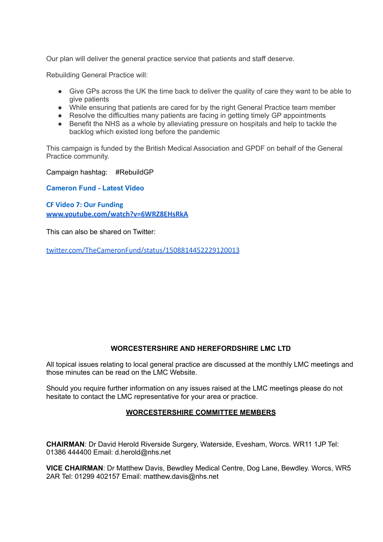Our plan will deliver the general practice service that patients and staff deserve.

Rebuilding General Practice will:

- Give GPs across the UK the time back to deliver the quality of care they want to be able to give patients
- While ensuring that patients are cared for by the right General Practice team member
- Resolve the difficulties many patients are facing in getting timely GP appointments
- Benefit the NHS as a whole by alleviating pressure on hospitals and help to tackle the backlog which existed long before the pandemic

This campaign is funded by the British Medical Association and GPDF on behalf of the General Practice community.

Campaign hashtag: #RebuildGP

**Cameron Fund - Latest Video**

**CF Video 7: Our Funding [www.youtube.com/watch?v=6WRZ8EHsRkA](http://www.youtube.com/watch?v=6WRZ8EHsRkA)**

This can also be shared on Twitter:

[twitter.com/TheCameronFund/status/1508814452229120013](http://twitter.com/TheCameronFund/status/1508814452229120013)

# **WORCESTERSHIRE AND HEREFORDSHIRE LMC LTD**

All topical issues relating to local general practice are discussed at the monthly LMC meetings and those minutes can be read on the LMC Website.

Should you require further information on any issues raised at the LMC meetings please do not hesitate to contact the LMC representative for your area or practice.

# **WORCESTERSHIRE COMMITTEE MEMBERS**

**CHAIRMAN**: Dr David Herold Riverside Surgery, Waterside, Evesham, Worcs. WR11 1JP Tel: 01386 444400 Email: d.herold@nhs.net

**VICE CHAIRMAN**: Dr Matthew Davis, Bewdley Medical Centre, Dog Lane, Bewdley. Worcs, WR5 2AR Tel: 01299 402157 Email: matthew.davis@nhs.net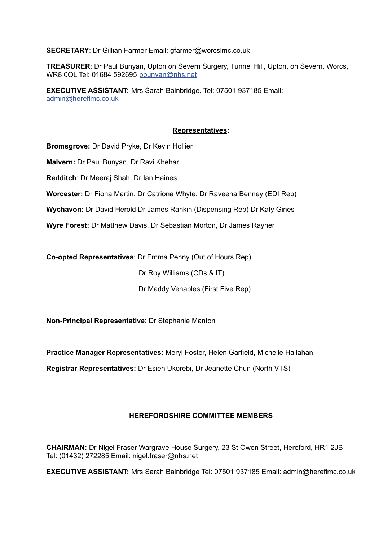**SECRETARY**: Dr Gillian Farmer Email: gfarmer@worcslmc.co.uk

**TREASURER**: Dr Paul Bunyan, Upton on Severn Surgery, Tunnel Hill, Upton, on Severn, Worcs, WR8 0QL Tel: 01684 592695 pbunyan@nhs.net

**EXECUTIVE ASSISTANT:** Mrs Sarah Bainbridge. Tel: 07501 937185 Email: admin@hereflmc.co.uk

# **Representatives:**

**Bromsgrove:** Dr David Pryke, Dr Kevin Hollier

**Malvern:** Dr Paul Bunyan, Dr Ravi Khehar

**Redditch**: Dr Meeraj Shah, Dr Ian Haines

**Worcester:** Dr Fiona Martin, Dr Catriona Whyte, Dr Raveena Benney (EDI Rep)

**Wychavon:** Dr David Herold Dr James Rankin (Dispensing Rep) Dr Katy Gines

**Wyre Forest:** Dr Matthew Davis, Dr Sebastian Morton, Dr James Rayner

**Co-opted Representatives**: Dr Emma Penny (Out of Hours Rep)

Dr Roy Williams (CDs & IT)

Dr Maddy Venables (First Five Rep)

**Non-Principal Representative**: Dr Stephanie Manton

**Practice Manager Representatives:** Meryl Foster, Helen Garfield, Michelle Hallahan

**Registrar Representatives:** Dr Esien Ukorebi, Dr Jeanette Chun (North VTS)

# **HEREFORDSHIRE COMMITTEE MEMBERS**

**CHAIRMAN:** Dr Nigel Fraser Wargrave House Surgery, 23 St Owen Street, Hereford, HR1 2JB Tel: (01432) 272285 Email: nigel.fraser@nhs.net

**EXECUTIVE ASSISTANT:** Mrs Sarah Bainbridge Tel: 07501 937185 Email: admin@hereflmc.co.uk